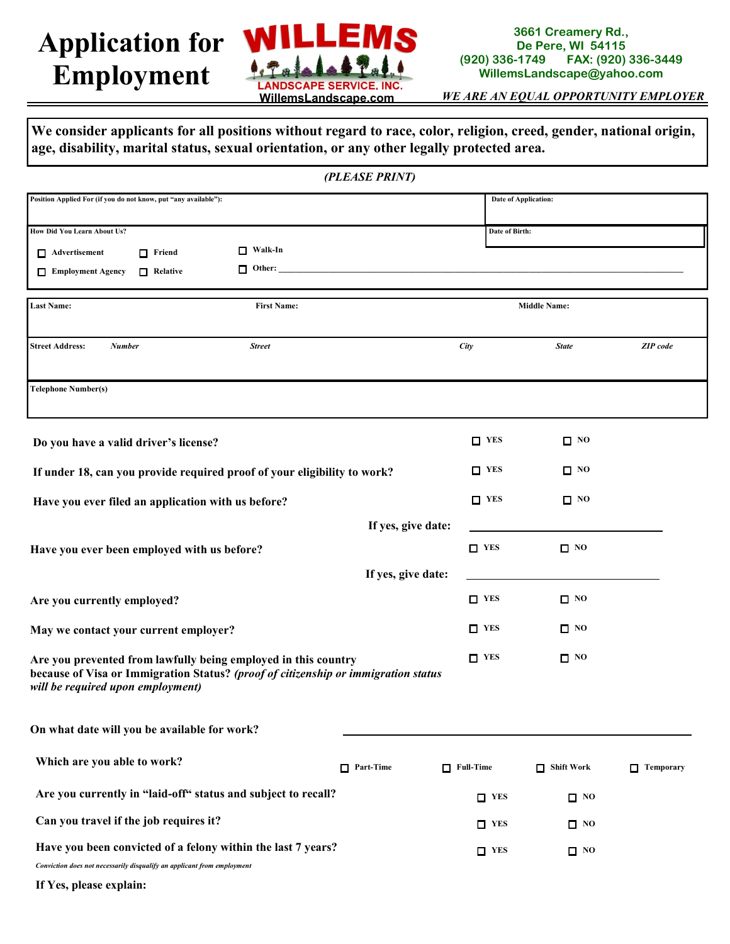## **Application for Employment**



## **3661 Creamery Rd., De Pere, WI 54115**<br>**(920) 336-1749 FAX: (920) (920) 336-1749 FAX: (920) 336-3449 WillemsLandscape@yahoo.com**

*WE ARE AN EQUAL OPPORTUNITY EMPLOYER*

**We consider applicants for all positions without regard to race, color, religion, creed, gender, national origin, age, disability, marital status, sexual orientation, or any other legally protected area.**

|                                                                                                                                         | (PLEASE PRINT)                                                                     |                     |                      |                  |  |
|-----------------------------------------------------------------------------------------------------------------------------------------|------------------------------------------------------------------------------------|---------------------|----------------------|------------------|--|
| Position Applied For (if you do not know, put "any available"):                                                                         |                                                                                    |                     | Date of Application: |                  |  |
| How Did You Learn About Us?                                                                                                             |                                                                                    |                     | Date of Birth:       |                  |  |
| Advertisement<br>$\Box$ Friend                                                                                                          | $\Box$ Walk-In                                                                     |                     |                      |                  |  |
| Employment Agency<br>$\Box$ Relative                                                                                                    | $\Box$ Other:                                                                      |                     |                      |                  |  |
| <b>Last Name:</b>                                                                                                                       |                                                                                    | <b>Middle Name:</b> |                      |                  |  |
| <b>Street Address:</b><br><b>Number</b>                                                                                                 | <b>Street</b>                                                                      | City                | <b>State</b>         | <b>ZIP</b> code  |  |
| <b>Telephone Number(s)</b>                                                                                                              |                                                                                    |                     |                      |                  |  |
| Do you have a valid driver's license?                                                                                                   |                                                                                    | $\Box$ YES          | $\square$ NO         |                  |  |
|                                                                                                                                         | If under 18, can you provide required proof of your eligibility to work?           | $\Box$ YES          | □ №                  |                  |  |
| Have you ever filed an application with us before?                                                                                      |                                                                                    | $\Box$ YES          | $\square$ NO         |                  |  |
|                                                                                                                                         |                                                                                    | If yes, give date:  |                      |                  |  |
| Have you ever been employed with us before?                                                                                             |                                                                                    | $\Box$ YES          | $\square$ NO         |                  |  |
|                                                                                                                                         |                                                                                    | If yes, give date:  |                      |                  |  |
| Are you currently employed?                                                                                                             |                                                                                    | $\Box$ YES          | $\square$ NO         |                  |  |
| May we contact your current employer?                                                                                                   |                                                                                    | $\Box$ YES          | $\square$ NO         |                  |  |
| Are you prevented from lawfully being employed in this country<br>will be required upon employment)                                     | because of Visa or Immigration Status? (proof of citizenship or immigration status | $\Box$ YES          | $\square$ NO         |                  |  |
| On what date will you be available for work?                                                                                            |                                                                                    |                     |                      |                  |  |
| Which are you able to work?                                                                                                             | $\Box$ Part-Time                                                                   | $\Box$ Full-Time    | $\Box$ Shift Work    | $\Box$ Temporary |  |
| Are you currently in "laid-off" status and subject to recall?                                                                           |                                                                                    | $\Box$ YES          | $\Box$ NO            |                  |  |
| Can you travel if the job requires it?                                                                                                  |                                                                                    | $\Gamma$ YES        | $\Box$ NO            |                  |  |
| Have you been convicted of a felony within the last 7 years?<br>Conviction does not necessarily disqualify an applicant from employment |                                                                                    | $\Box$ YES          | $\Box$ NO            |                  |  |
| If Yes, please explain:                                                                                                                 |                                                                                    |                     |                      |                  |  |